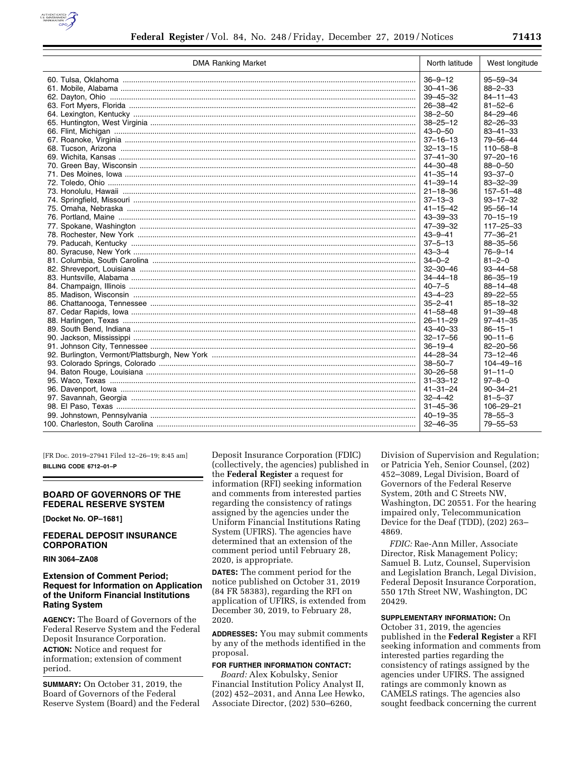

| <b>DMA Ranking Market</b> | North latitude | West longitude  |
|---------------------------|----------------|-----------------|
|                           | $36 - 9 - 12$  | $95 - 59 - 34$  |
|                           | $30 - 41 - 36$ | $88 - 2 - 33$   |
|                           | $39 - 45 - 32$ | $84 - 11 - 43$  |
|                           | $26 - 38 - 42$ | $81 - 52 - 6$   |
|                           | $38 - 2 - 50$  | $84 - 29 - 46$  |
|                           | $38 - 25 - 12$ | $82 - 26 - 33$  |
|                           | $43 - 0 - 50$  | $83 - 41 - 33$  |
|                           | $37 - 16 - 13$ | 79-56-44        |
|                           | $32 - 13 - 15$ | $110 - 58 - 8$  |
|                           | $37 - 41 - 30$ | $97 - 20 - 16$  |
|                           | 44-30-48       | $88 - 0 - 50$   |
|                           | $41 - 35 - 14$ | $93 - 37 - 0$   |
|                           | $41 - 39 - 14$ | $83 - 32 - 39$  |
|                           | $21 - 18 - 36$ | $157 - 51 - 48$ |
|                           | $37 - 13 - 3$  | $93 - 17 - 32$  |
|                           | $41 - 15 - 42$ | $95 - 56 - 14$  |
|                           | 43-39-33       | $70 - 15 - 19$  |
|                           | $47 - 39 - 32$ | $117 - 25 - 33$ |
|                           | $43 - 9 - 41$  | $77 - 36 - 21$  |
|                           | $37 - 5 - 13$  | 88-35-56        |
|                           | $43 - 3 - 4$   | $76 - 9 - 14$   |
|                           | $34 - 0 - 2$   | $81 - 2 - 0$    |
|                           | $32 - 30 - 46$ | $93 - 44 - 58$  |
|                           | $34 - 44 - 18$ | $86 - 35 - 19$  |
|                           | $40 - 7 - 5$   | $88 - 14 - 48$  |
|                           | $43 - 4 - 23$  | $89 - 22 - 55$  |
|                           | $35 - 2 - 41$  | $85 - 18 - 32$  |
|                           | $41 - 58 - 48$ | $91 - 39 - 48$  |
|                           | $26 - 11 - 29$ | $97 - 41 - 35$  |
|                           | $43 - 40 - 33$ | $86 - 15 - 1$   |
|                           | $32 - 17 - 56$ | $90 - 11 - 6$   |
|                           | $36 - 19 - 4$  | $82 - 20 - 56$  |
|                           | 44-28-34       | $73 - 12 - 46$  |
|                           | $38 - 50 - 7$  | $104 - 49 - 16$ |
|                           | $30 - 26 - 58$ | $91 - 11 - 0$   |
|                           | $31 - 33 - 12$ | $97 - 8 - 0$    |
|                           | $41 - 31 - 24$ | $90 - 34 - 21$  |
|                           | $32 - 4 - 42$  | $81 - 5 - 37$   |
|                           | $31 - 45 - 36$ | 106-29-21       |
|                           | 40–19–35       | $78 - 55 - 3$   |
|                           | $32 - 46 - 35$ | $79 - 55 - 53$  |

[FR Doc. 2019–27941 Filed 12–26–19; 8:45 am] **BILLING CODE 6712–01–P** 

# **BOARD OF GOVERNORS OF THE FEDERAL RESERVE SYSTEM**

**[Docket No. OP–1681]** 

# **FEDERAL DEPOSIT INSURANCE CORPORATION**

#### **RIN 3064–ZA08**

# **Extension of Comment Period; Request for Information on Application of the Uniform Financial Institutions Rating System**

**AGENCY:** The Board of Governors of the Federal Reserve System and the Federal Deposit Insurance Corporation. **ACTION:** Notice and request for information; extension of comment period.

**SUMMARY:** On October 31, 2019, the Board of Governors of the Federal Reserve System (Board) and the Federal Deposit Insurance Corporation (FDIC) (collectively, the agencies) published in the **Federal Register** a request for information (RFI) seeking information and comments from interested parties regarding the consistency of ratings assigned by the agencies under the Uniform Financial Institutions Rating System (UFIRS). The agencies have determined that an extension of the comment period until February 28, 2020, is appropriate.

**DATES:** The comment period for the notice published on October 31, 2019 (84 FR 58383), regarding the RFI on application of UFIRS, is extended from December 30, 2019, to February 28, 2020.

**ADDRESSES:** You may submit comments by any of the methods identified in the proposal.

# **FOR FURTHER INFORMATION CONTACT:**

*Board:* Alex Kobulsky, Senior Financial Institution Policy Analyst II, (202) 452–2031, and Anna Lee Hewko, Associate Director, (202) 530–6260,

Division of Supervision and Regulation; or Patricia Yeh, Senior Counsel, (202) 452–3089, Legal Division, Board of Governors of the Federal Reserve System, 20th and C Streets NW, Washington, DC 20551. For the hearing impaired only, Telecommunication Device for the Deaf (TDD), (202) 263– 4869.

*FDIC:* Rae-Ann Miller, Associate Director, Risk Management Policy; Samuel B. Lutz, Counsel, Supervision and Legislation Branch, Legal Division, Federal Deposit Insurance Corporation, 550 17th Street NW, Washington, DC 20429.

### **SUPPLEMENTARY INFORMATION:** On

October 31, 2019, the agencies published in the **Federal Register** a RFI seeking information and comments from interested parties regarding the consistency of ratings assigned by the agencies under UFIRS. The assigned ratings are commonly known as CAMELS ratings. The agencies also sought feedback concerning the current